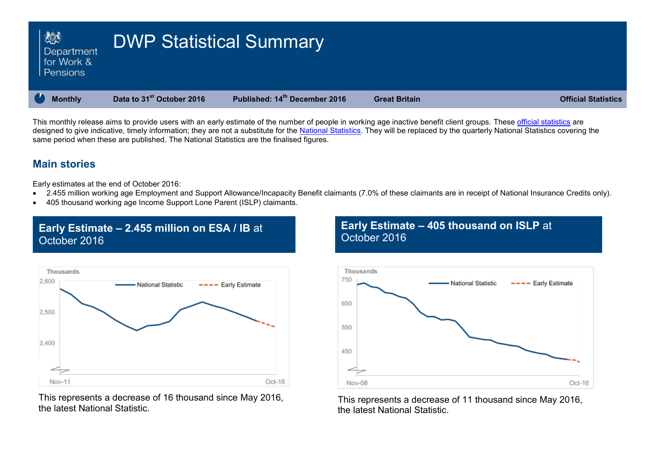| <b>Action</b><br>Department<br>for Work &<br>Pensions | <b>DWP Statistical Summary</b>        |                               |                      |                            |
|-------------------------------------------------------|---------------------------------------|-------------------------------|----------------------|----------------------------|
| <b>Monthly</b>                                        | Data to 31 <sup>st</sup> October 2016 | Published: 14th December 2016 | <b>Great Britain</b> | <b>Official Statistics</b> |

This monthly release aims to provide users with an early estimate of the number of people in working age inactive benefit client groups. These [official statistics](http://www.statisticsauthority.gov.uk/national-statistician/types-of-official-statistics) are designed to give indicative, timely information; they are not a substitute for the [National Statistics.](http://www.statisticsauthority.gov.uk/national-statistician/types-of-official-statistics) They will be replaced by the quarterly National Statistics covering the same period when these are published. The National Statistics are the finalised figures.

### **Main stories**

Early estimates at the end of October 2016:

- 2.455 million working age Employment and Support Allowance/Incapacity Benefit claimants (7.0% of these claimants are in receipt of National Insurance Credits only).
- 405 thousand working age Income Support Lone Parent (ISLP) claimants.

## **Early Estimate – 2.455 million on ESA / IB** at October 2016



This represents a decrease of 16 thousand since May 2016, the latest National Statistic.

## **Early Estimate – 405 thousand on ISLP** at October 2016



This represents a decrease of 11 thousand since May 2016, the latest National Statistic.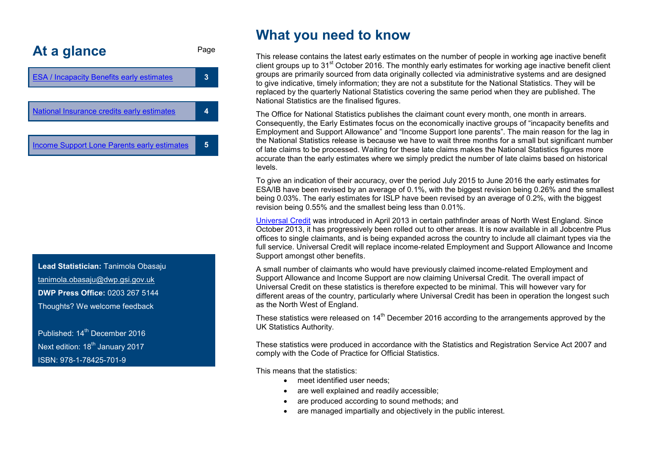<span id="page-1-0"></span>

**Lead Statistician:** Tanimola Obasaju tanimola.obasaju@dwp.gsi.gov.uk **DWP Press Office:** 0203 267 5144 Thoughts? We welcome feedback

Published: 14<sup>th</sup> December 2016 Next edition: 18<sup>th</sup> January 2017 ISBN: 978-1-78425-701-9

## **What you need to know**

This release contains the latest early estimates on the number of people in working age inactive benefit client groups up to  $31<sup>st</sup>$  October 2016. The monthly early estimates for working age inactive benefit client groups are primarily sourced from data originally collected via administrative systems and are designed to give indicative, timely information; they are not a substitute for the National Statistics. They will be replaced by the quarterly National Statistics covering the same period when they are published. The National Statistics are the finalised figures.

The Office for National Statistics publishes the claimant count every month, one month in arrears. Consequently, the Early Estimates focus on the economically inactive groups of "incapacity benefits and Employment and Support Allowance" and "Income Support lone parents". The main reason for the lag in the National Statistics release is because we have to wait three months for a small but significant number of late claims to be processed. Waiting for these late claims makes the National Statistics figures more accurate than the early estimates where we simply predict the number of late claims based on historical levels.

To give an indication of their accuracy, over the period July 2015 to June 2016 the early estimates for ESA/IB have been revised by an average of 0.1%, with the biggest revision being 0.26% and the smallest being 0.03%. The early estimates for ISLP have been revised by an average of 0.2%, with the biggest revision being 0.55% and the smallest being less than 0.01%.

[Universal Credit](https://www.gov.uk/government/collections/universal-credit-statistics) was introduced in April 2013 in certain pathfinder areas of North West England. Since October 2013, it has progressively been rolled out to other areas. It is now available in all Jobcentre Plus offices to single claimants, and is being expanded across the country to include all claimant types via the full service. Universal Credit will replace income-related Employment and Support Allowance and Income Support amongst other benefits.

A small number of claimants who would have previously claimed income-related Employment and Support Allowance and Income Support are now claiming Universal Credit. The overall impact of Universal Credit on these statistics is therefore expected to be minimal. This will however vary for different areas of the country, particularly where Universal Credit has been in operation the longest such as the North West of England.

These statistics were released on 14<sup>th</sup> December 2016 according to the arrangements approved by the UK Statistics Authority.

These statistics were produced in accordance with the Statistics and Registration Service Act 2007 and comply with the Code of Practice for Official Statistics.

This means that the statistics:

- meet identified user needs:
- are well explained and readily accessible;
- are produced according to sound methods; and
- are managed impartially and objectively in the public interest.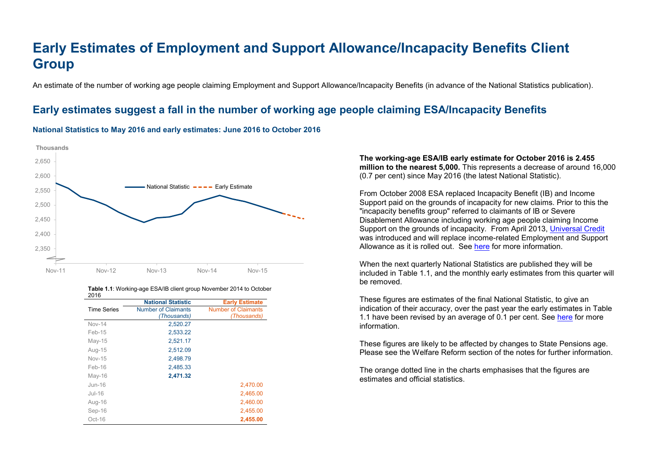# <span id="page-2-0"></span>**Early Estimates of Employment and Support Allowance/Incapacity Benefits Client Group**

An estimate of the number of working age people claiming Employment and Support Allowance/Incapacity Benefits (in advance of the National Statistics publication).

## <span id="page-2-1"></span>**Early estimates suggest a fall in the number of working age people claiming ESA/Incapacity Benefits**

#### **National Statistics to May 2016 and early estimates: June 2016 to October 2016**



| סו∪∠               |                            |                            |
|--------------------|----------------------------|----------------------------|
|                    | <b>National Statistic</b>  | <b>Early Estimate</b>      |
| <b>Time Series</b> | <b>Number of Claimants</b> | <b>Number of Claimants</b> |
|                    | (Thousands)                | (Thousands)                |
| <b>Nov-14</b>      | 2,520.27                   |                            |
| $Feb-15$           | 2,533.22                   |                            |
| May-15             | 2,521.17                   |                            |
| Aug-15             | 2,512.09                   |                            |
| <b>Nov-15</b>      | 2,498.79                   |                            |
| Feb-16             | 2,485.33                   |                            |
| May-16             | 2,471.32                   |                            |
| $Jun-16$           |                            | 2,470.00                   |
| Jul-16             |                            | 2,465.00                   |
| Aug-16             |                            | 2,460.00                   |
| Sep-16             |                            | 2,455.00                   |
| Oct-16             |                            | 2,455.00                   |

#### **Table 1.1**: Working-age ESA/IB client group November 2014 to October 2016

**The working-age ESA/IB early estimate for October 2016 is 2.455 million to the nearest 5,000.** This represents a decrease of around 16,000 (0.7 per cent) since May 2016 (the latest National Statistic).

From October 2008 ESA replaced Incapacity Benefit (IB) and Income Support paid on the grounds of incapacity for new claims. Prior to this the "incapacity benefits group" referred to claimants of IB or Severe Disablement Allowance including working age people claiming Income Support on the grounds of incapacity. From April 2013, [Universal Credit](https://www.gov.uk/government/collections/universal-credit-statistics) was introduced and will replace income-related Employment and Support Allowance as it is rolled out. See [here](#page-1-0) for more information.

When the next quarterly National Statistics are published they will be included in Table 1.1, and the monthly early estimates from this quarter will be removed.

These figures are estimates of the final National Statistic, to give an indication of their accuracy, over the past year the early estimates in Table 1.1 have been revised by an average of 0.1 per cent. See [here](https://www.gov.uk/government/uploads/system/uploads/attachment_data/file/204838/tech-doc-early-estimates-working-age-inactive.pdf) for more information.

These figures are likely to be affected by changes to State Pensions age. Please see the Welfare Reform section of the notes for further information.

The orange dotted line in the charts emphasises that the figures are estimates and official statistics.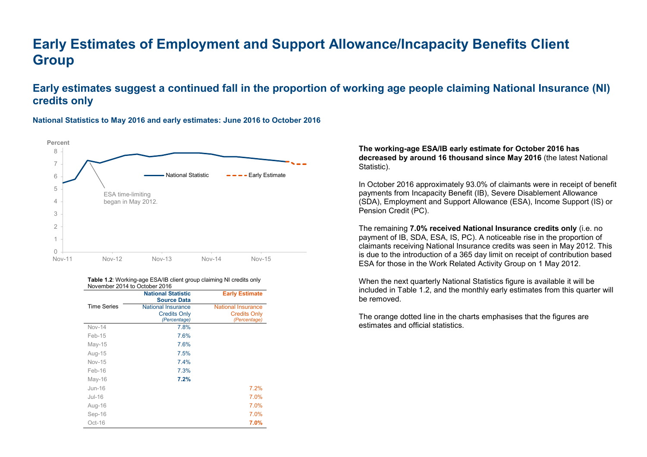# **Early Estimates of Employment and Support Allowance/Incapacity Benefits Client Group**

## <span id="page-3-0"></span>**Early estimates suggest a continued fall in the proportion of working age people claiming National Insurance (NI) credits only**



#### **National Statistics to May 2016 and early estimates: June 2016 to October 2016**

#### **Table 1.2**: Working-age ESA/IB client group claiming NI credits only November 2014 to October 2016

|                    | <b>National Statistic</b><br><b>Source Data</b> | <b>Early Estimate</b>     |
|--------------------|-------------------------------------------------|---------------------------|
| <b>Time Series</b> | <b>National Insurance</b>                       | <b>National Insurance</b> |
|                    | <b>Credits Only</b>                             | <b>Credits Only</b>       |
|                    | (Percentage)                                    | (Percentage)              |
| <b>Nov-14</b>      | 7.8%                                            |                           |
| Feb-15             | 7.6%                                            |                           |
| $Mav-15$           | 7.6%                                            |                           |
| Aug-15             | 7.5%                                            |                           |
| <b>Nov-15</b>      | 7.4%                                            |                           |
| Feb-16             | 7.3%                                            |                           |
| May-16             | 7.2%                                            |                           |
| $Jun-16$           |                                                 | 7.2%                      |
| $Jul-16$           |                                                 | 7.0%                      |
| Aug-16             |                                                 | 7.0%                      |
| Sep-16             |                                                 | 7.0%                      |
| $Oct-16$           |                                                 | 7.0%                      |

**The working-age ESA/IB early estimate for October 2016 has decreased by around 16 thousand since May 2016** (the latest National Statistic).

In October 2016 approximately 93.0% of claimants were in receipt of benefit payments from Incapacity Benefit (IB), Severe Disablement Allowance (SDA), Employment and Support Allowance (ESA), Income Support (IS) or Pension Credit (PC).

The remaining **7.0% received National Insurance credits only** (i.e. no payment of IB, SDA, ESA, IS, PC). A noticeable rise in the proportion of claimants receiving National Insurance credits was seen in May 2012. This is due to the introduction of a 365 day limit on receipt of contribution based ESA for those in the Work Related Activity Group on 1 May 2012.

When the next quarterly National Statistics figure is available it will be included in Table 1.2, and the monthly early estimates from this quarter will be removed.

The orange dotted line in the charts emphasises that the figures are estimates and official statistics.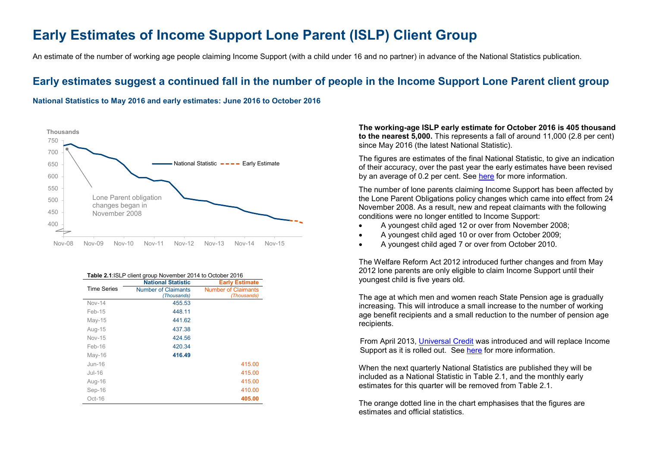## <span id="page-4-0"></span>**Early Estimates of Income Support Lone Parent (ISLP) Client Group**

An estimate of the number of working age people claiming Income Support (with a child under 16 and no partner) in advance of the National Statistics publication.

## **Early estimates suggest a continued fall in the number of people in the Income Support Lone Parent client group**

#### **National Statistics to May 2016 and early estimates: June 2016 to October 2016**



#### **Table 2.1**:ISLP client group November 2014 to October 2016

|                    | <b>National Statistic</b>                 | <b>Early Estimate</b>                     |
|--------------------|-------------------------------------------|-------------------------------------------|
| <b>Time Series</b> | <b>Number of Claimants</b><br>(Thousands) | <b>Number of Claimants</b><br>(Thousands) |
| $Nov-14$           | 455.53                                    |                                           |
| $Feb-15$           | 448.11                                    |                                           |
| $May-15$           | 441.62                                    |                                           |
| Aug-15             | 437.38                                    |                                           |
| <b>Nov-15</b>      | 424.56                                    |                                           |
| Feb-16             | 420.34                                    |                                           |
| $Mav-16$           | 416.49                                    |                                           |
| $Jun-16$           |                                           | 415.00                                    |
| $Jul-16$           |                                           | 415.00                                    |
| Aug-16             |                                           | 415.00                                    |
| Sep-16             |                                           | 410.00                                    |
| Oct-16             |                                           | 405.00                                    |

**The working-age ISLP early estimate for October 2016 is 405 thousand to the nearest 5,000.** This represents a fall of around 11,000 (2.8 per cent) since May 2016 (the latest National Statistic).

The figures are estimates of the final National Statistic, to give an indication of their accuracy, over the past year the early estimates have been revised by an average of 0.2 per cent. See [here](https://www.gov.uk/government/uploads/system/uploads/attachment_data/file/204838/tech-doc-early-estimates-working-age-inactive.pdf) for more information.

The number of lone parents claiming Income Support has been affected by the Lone Parent Obligations policy changes which came into effect from 24 November 2008. As a result, new and repeat claimants with the following conditions were no longer entitled to Income Support:

- A youngest child aged 12 or over from November 2008;
- A youngest child aged 10 or over from October 2009;
- A youngest child aged 7 or over from October 2010.

The Welfare Reform Act 2012 introduced further changes and from May 2012 lone parents are only eligible to claim Income Support until their youngest child is five years old.

The age at which men and women reach State Pension age is gradually increasing. This will introduce a small increase to the number of working age benefit recipients and a small reduction to the number of pension age recipients.

From April 2013, [Universal Credit](https://www.gov.uk/government/collections/universal-credit-statistics) was introduced and will replace Income Support as it is rolled out. See [here](#page-1-0) for more information.

When the next quarterly National Statistics are published they will be included as a National Statistic in Table 2.1, and the monthly early estimates for this quarter will be removed from Table 2.1.

The orange dotted line in the chart emphasises that the figures are estimates and official statistics.